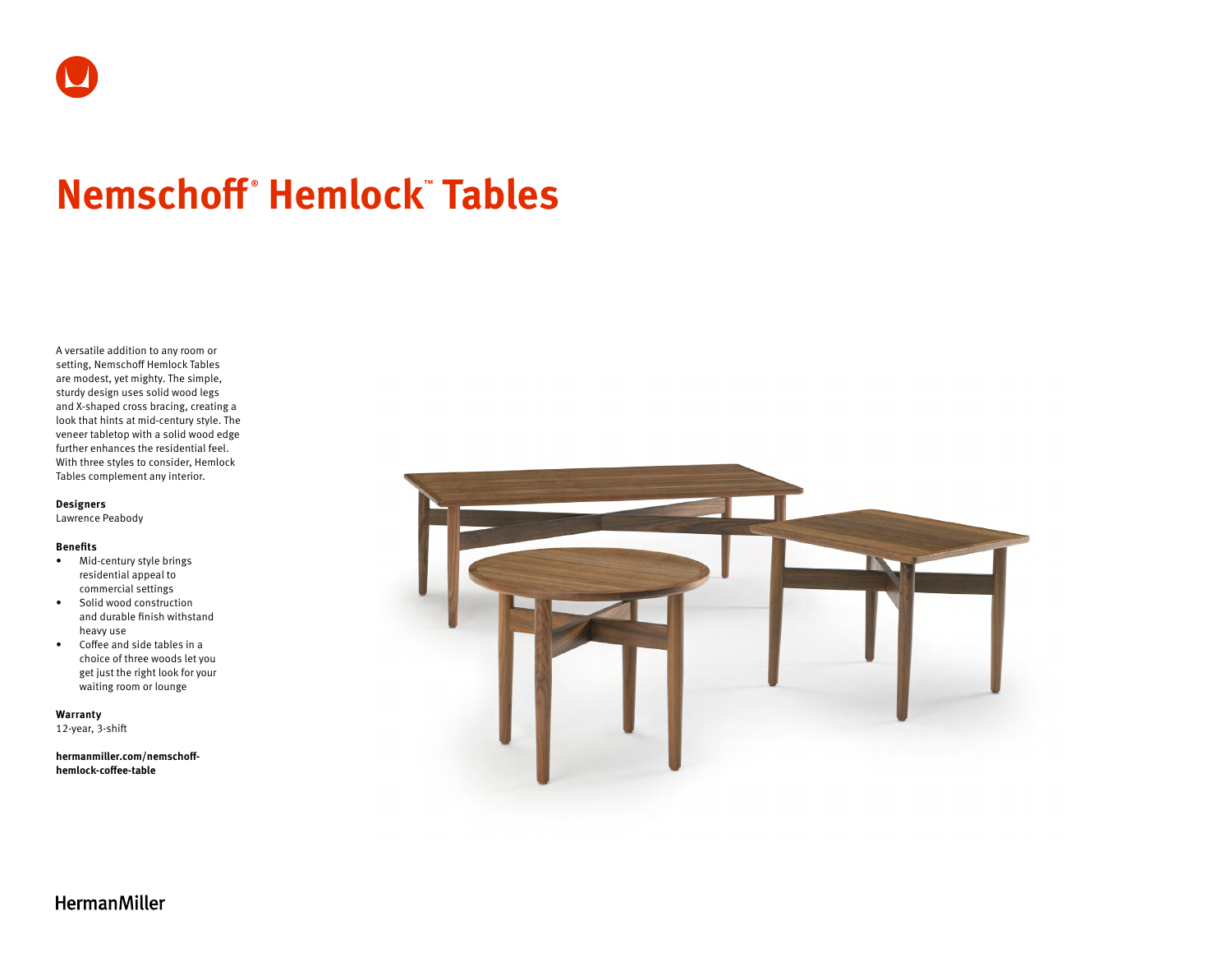# **Nemschoff ® Hemlock™ Tables**

A versatile addition to any room or setting, Nemschoff Hemlock Tables are modest, yet mighty. The simple, sturdy design uses solid wood legs and X-shaped cross bracing, creating a look that hints at mid-century style. The veneer tabletop with a solid wood edge further enhances the residential feel. With three styles to consider, Hemlock Tables complement any interior.

**Designers**

Lawrence Peabody

#### **Benefits**

- Mid-century style brings residential appeal to commercial settings
- Solid wood construction and durable finish withstand heavy use
- Coffee and side tables in a choice of three woods let you get just the right look for your waiting room or lounge

**Warranty**  12-year, 3-shift

**[hermanmiller.com/nemschoff](http://hermanmiller.com/nemschoff-hemlock-coffee-table)[hemlock-coffee-table](http://hermanmiller.com/nemschoff-hemlock-coffee-table)**